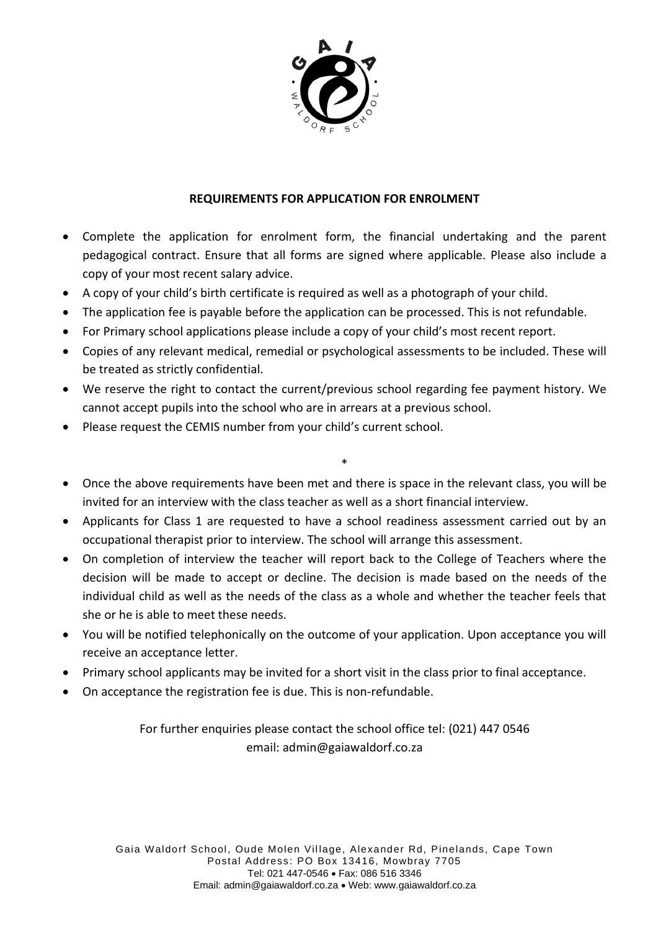

### **REQUIREMENTS FOR APPLICATION FOR ENROLMENT**

- Complete the application for enrolment form, the financial undertaking and the parent pedagogical contract. Ensure that all forms are signed where applicable. Please also include a copy of your most recent salary advice.
- A copy of your child's birth certificate is required as well as a photograph of your child.
- The application fee is payable before the application can be processed. This is not refundable.
- For Primary school applications please include a copy of your child's most recent report.
- Copies of any relevant medical, remedial or psychological assessments to be included. These will be treated as strictly confidential.
- We reserve the right to contact the current/previous school regarding fee payment history. We cannot accept pupils into the school who are in arrears at a previous school.
- Please request the CEMIS number from your child's current school.
- Once the above requirements have been met and there is space in the relevant class, you will be invited for an interview with the class teacher as well as a short financial interview.

\*

- Applicants for Class 1 are requested to have a school readiness assessment carried out by an occupational therapist prior to interview. The school will arrange this assessment.
- On completion of interview the teacher will report back to the College of Teachers where the decision will be made to accept or decline. The decision is made based on the needs of the individual child as well as the needs of the class as a whole and whether the teacher feels that she or he is able to meet these needs.
- You will be notified telephonically on the outcome of your application. Upon acceptance you will receive an acceptance letter.
- Primary school applicants may be invited for a short visit in the class prior to final acceptance.
- On acceptance the registration fee is due. This is non-refundable.

For further enquiries please contact the school office tel: (021) 447 0546 email: admin@gaiawaldorf.co.za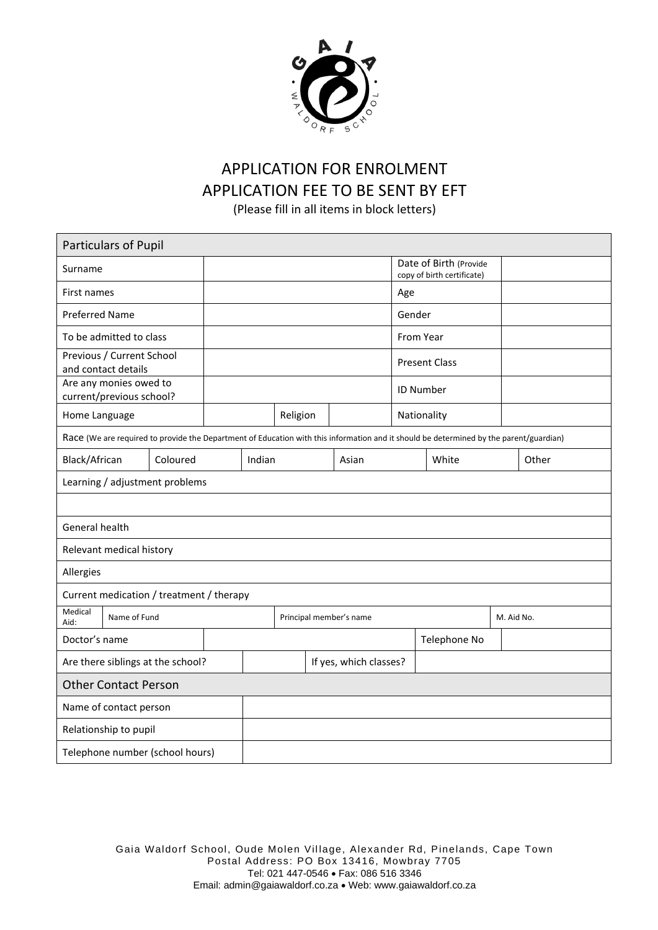

# APPLICATION FOR ENROLMENT APPLICATION FEE TO BE SENT BY EFT

(Please fill in all items in block letters)

| Particulars of Pupil                                                                                                                   |          |                        |                         |          |  |       |                      |                                                      |            |       |
|----------------------------------------------------------------------------------------------------------------------------------------|----------|------------------------|-------------------------|----------|--|-------|----------------------|------------------------------------------------------|------------|-------|
| Surname                                                                                                                                |          |                        |                         |          |  |       |                      | Date of Birth (Provide<br>copy of birth certificate) |            |       |
| First names                                                                                                                            |          |                        |                         | Age      |  |       |                      |                                                      |            |       |
| <b>Preferred Name</b>                                                                                                                  |          |                        |                         |          |  |       | Gender               |                                                      |            |       |
| To be admitted to class                                                                                                                |          |                        |                         |          |  |       | From Year            |                                                      |            |       |
| Previous / Current School<br>and contact details                                                                                       |          |                        |                         |          |  |       | <b>Present Class</b> |                                                      |            |       |
| Are any monies owed to<br>current/previous school?                                                                                     |          |                        |                         |          |  |       |                      | <b>ID Number</b>                                     |            |       |
| Home Language                                                                                                                          |          |                        |                         | Religion |  |       |                      | Nationality                                          |            |       |
| Race (We are required to provide the Department of Education with this information and it should be determined by the parent/guardian) |          |                        |                         |          |  |       |                      |                                                      |            |       |
| Black/African                                                                                                                          | Coloured | Indian                 |                         |          |  | Asian |                      | White                                                |            | Other |
| Learning / adjustment problems                                                                                                         |          |                        |                         |          |  |       |                      |                                                      |            |       |
|                                                                                                                                        |          |                        |                         |          |  |       |                      |                                                      |            |       |
| General health                                                                                                                         |          |                        |                         |          |  |       |                      |                                                      |            |       |
| Relevant medical history                                                                                                               |          |                        |                         |          |  |       |                      |                                                      |            |       |
| Allergies                                                                                                                              |          |                        |                         |          |  |       |                      |                                                      |            |       |
| Current medication / treatment / therapy                                                                                               |          |                        |                         |          |  |       |                      |                                                      |            |       |
| Medical<br>Name of Fund<br>Aid:                                                                                                        |          |                        | Principal member's name |          |  |       |                      |                                                      | M. Aid No. |       |
| Doctor's name                                                                                                                          |          |                        |                         |          |  |       | Telephone No         |                                                      |            |       |
| Are there siblings at the school?                                                                                                      |          | If yes, which classes? |                         |          |  |       |                      |                                                      |            |       |
| <b>Other Contact Person</b>                                                                                                            |          |                        |                         |          |  |       |                      |                                                      |            |       |
| Name of contact person                                                                                                                 |          |                        |                         |          |  |       |                      |                                                      |            |       |
| Relationship to pupil                                                                                                                  |          |                        |                         |          |  |       |                      |                                                      |            |       |
| Telephone number (school hours)                                                                                                        |          |                        |                         |          |  |       |                      |                                                      |            |       |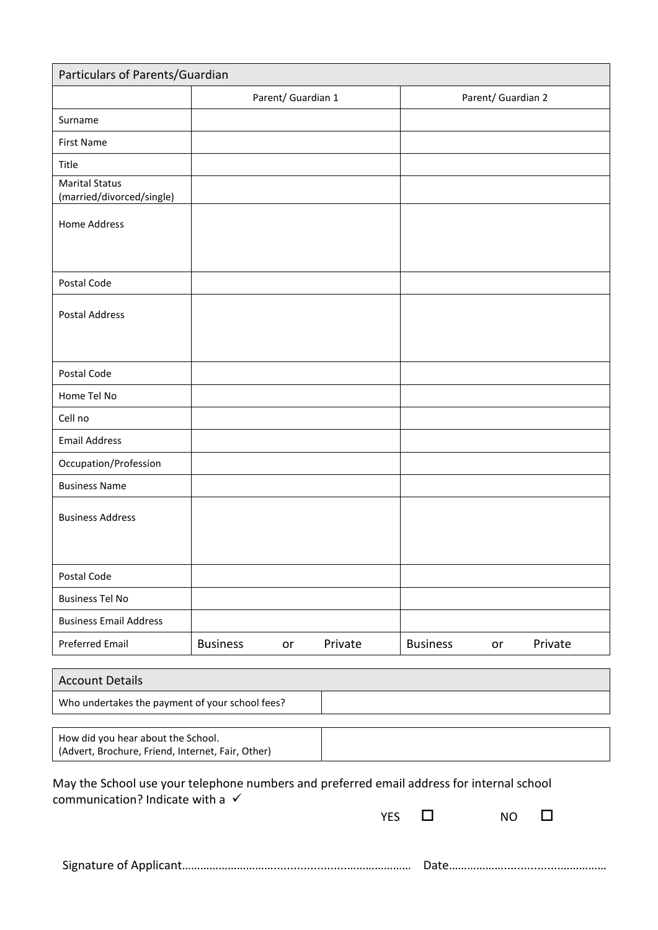| Particulars of Parents/Guardian                                                           |                 |                    |            |                 |                    |         |
|-------------------------------------------------------------------------------------------|-----------------|--------------------|------------|-----------------|--------------------|---------|
|                                                                                           |                 | Parent/ Guardian 1 |            |                 | Parent/ Guardian 2 |         |
| Surname                                                                                   |                 |                    |            |                 |                    |         |
| <b>First Name</b>                                                                         |                 |                    |            |                 |                    |         |
| Title                                                                                     |                 |                    |            |                 |                    |         |
| <b>Marital Status</b><br>(married/divorced/single)                                        |                 |                    |            |                 |                    |         |
|                                                                                           |                 |                    |            |                 |                    |         |
| <b>Home Address</b>                                                                       |                 |                    |            |                 |                    |         |
|                                                                                           |                 |                    |            |                 |                    |         |
| Postal Code                                                                               |                 |                    |            |                 |                    |         |
| <b>Postal Address</b>                                                                     |                 |                    |            |                 |                    |         |
|                                                                                           |                 |                    |            |                 |                    |         |
|                                                                                           |                 |                    |            |                 |                    |         |
| Postal Code                                                                               |                 |                    |            |                 |                    |         |
| Home Tel No                                                                               |                 |                    |            |                 |                    |         |
| Cell no                                                                                   |                 |                    |            |                 |                    |         |
| <b>Email Address</b>                                                                      |                 |                    |            |                 |                    |         |
| Occupation/Profession                                                                     |                 |                    |            |                 |                    |         |
| <b>Business Name</b>                                                                      |                 |                    |            |                 |                    |         |
| <b>Business Address</b>                                                                   |                 |                    |            |                 |                    |         |
|                                                                                           |                 |                    |            |                 |                    |         |
|                                                                                           |                 |                    |            |                 |                    |         |
| Postal Code                                                                               |                 |                    |            |                 |                    |         |
| <b>Business Tel No</b>                                                                    |                 |                    |            |                 |                    |         |
| <b>Business Email Address</b>                                                             |                 |                    |            |                 |                    |         |
| <b>Preferred Email</b>                                                                    | <b>Business</b> | or                 | Private    | <b>Business</b> | or                 | Private |
| <b>Account Details</b>                                                                    |                 |                    |            |                 |                    |         |
| Who undertakes the payment of your school fees?                                           |                 |                    |            |                 |                    |         |
|                                                                                           |                 |                    |            |                 |                    |         |
| How did you hear about the School.<br>(Advert, Brochure, Friend, Internet, Fair, Other)   |                 |                    |            |                 |                    |         |
| May the School use your telephone numbers and preferred email address for internal school |                 |                    |            |                 |                    |         |
| communication? Indicate with a $\checkmark$                                               |                 |                    |            |                 |                    |         |
|                                                                                           |                 |                    | <b>YES</b> | $\mathsf{L}$    | <b>NO</b>          | l 1     |
|                                                                                           |                 |                    |            |                 |                    |         |

Signature of Applicant…………………………......................………………… Date……………….................……………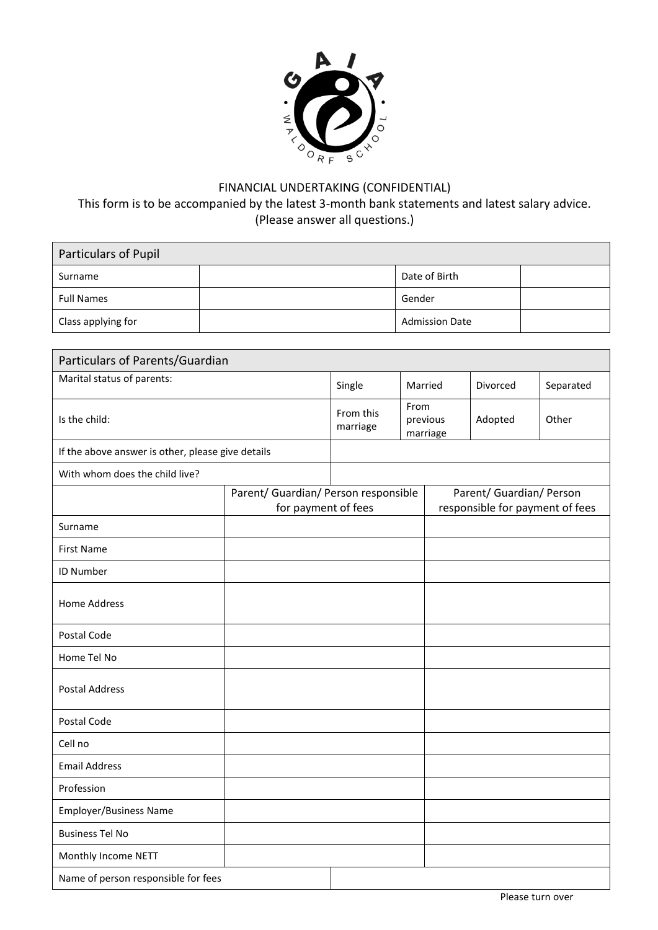

# FINANCIAL UNDERTAKING (CONFIDENTIAL) This form is to be accompanied by the latest 3-month bank statements and latest salary advice. (Please answer all questions.)

| Particulars of Pupil |  |                       |  |  |  |
|----------------------|--|-----------------------|--|--|--|
| Surname              |  | Date of Birth         |  |  |  |
| <b>Full Names</b>    |  | Gender                |  |  |  |
| Class applying for   |  | <b>Admission Date</b> |  |  |  |

| Particulars of Parents/Guardian                             |        |                                                             |         |                      |           |       |
|-------------------------------------------------------------|--------|-------------------------------------------------------------|---------|----------------------|-----------|-------|
| Marital status of parents:                                  | Single |                                                             | Married | Divorced             | Separated |       |
| Is the child:                                               |        | From this<br>marriage                                       | From    | previous<br>marriage | Adopted   | Other |
| If the above answer is other, please give details           |        |                                                             |         |                      |           |       |
| With whom does the child live?                              |        |                                                             |         |                      |           |       |
| Parent/ Guardian/ Person responsible<br>for payment of fees |        | Parent/ Guardian/ Person<br>responsible for payment of fees |         |                      |           |       |
| Surname                                                     |        |                                                             |         |                      |           |       |
| <b>First Name</b>                                           |        |                                                             |         |                      |           |       |
| ID Number                                                   |        |                                                             |         |                      |           |       |
| <b>Home Address</b>                                         |        |                                                             |         |                      |           |       |
| Postal Code                                                 |        |                                                             |         |                      |           |       |
| Home Tel No                                                 |        |                                                             |         |                      |           |       |
| <b>Postal Address</b>                                       |        |                                                             |         |                      |           |       |
| Postal Code                                                 |        |                                                             |         |                      |           |       |
| Cell no                                                     |        |                                                             |         |                      |           |       |
| <b>Email Address</b>                                        |        |                                                             |         |                      |           |       |
| Profession                                                  |        |                                                             |         |                      |           |       |
| <b>Employer/Business Name</b>                               |        |                                                             |         |                      |           |       |
| <b>Business Tel No</b>                                      |        |                                                             |         |                      |           |       |
| Monthly Income NETT                                         |        |                                                             |         |                      |           |       |
| Name of person responsible for fees                         |        |                                                             |         |                      |           |       |

Please turn over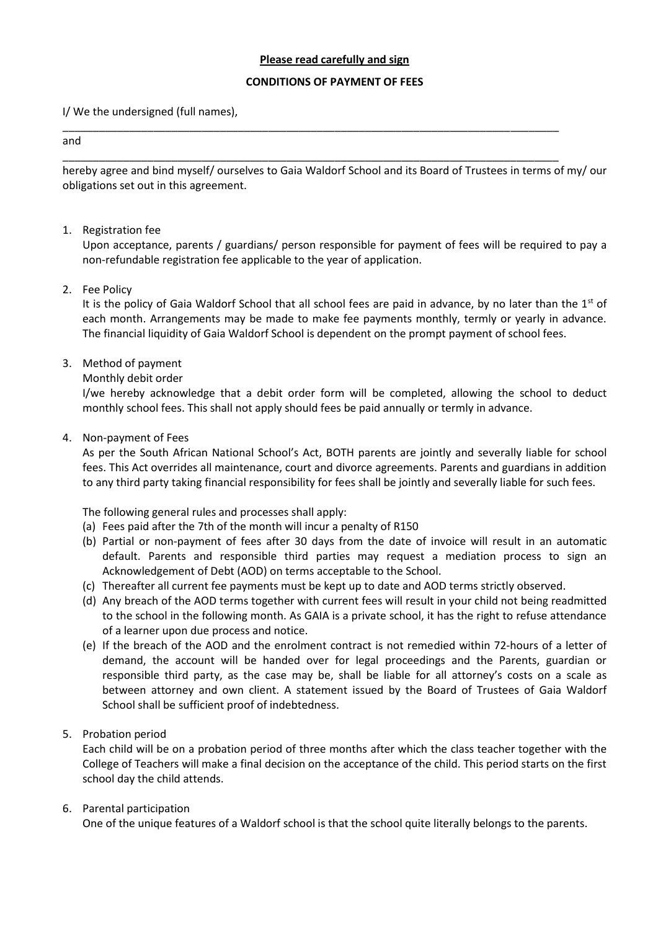#### **Please read carefully and sign**

#### **CONDITIONS OF PAYMENT OF FEES**

\_\_\_\_\_\_\_\_\_\_\_\_\_\_\_\_\_\_\_\_\_\_\_\_\_\_\_\_\_\_\_\_\_\_\_\_\_\_\_\_\_\_\_\_\_\_\_\_\_\_\_\_\_\_\_\_\_\_\_\_\_\_\_\_\_\_\_\_\_\_\_\_\_\_\_\_\_\_\_\_\_\_

\_\_\_\_\_\_\_\_\_\_\_\_\_\_\_\_\_\_\_\_\_\_\_\_\_\_\_\_\_\_\_\_\_\_\_\_\_\_\_\_\_\_\_\_\_\_\_\_\_\_\_\_\_\_\_\_\_\_\_\_\_\_\_\_\_\_\_\_\_\_\_\_\_\_\_\_\_\_\_\_\_\_

I/ We the undersigned (full names),

#### and

hereby agree and bind myself/ ourselves to Gaia Waldorf School and its Board of Trustees in terms of my/ our obligations set out in this agreement.

#### 1. Registration fee

Upon acceptance, parents / guardians/ person responsible for payment of fees will be required to pay a non-refundable registration fee applicable to the year of application.

#### 2. Fee Policy

It is the policy of Gaia Waldorf School that all school fees are paid in advance, by no later than the 1<sup>st</sup> of each month. Arrangements may be made to make fee payments monthly, termly or yearly in advance. The financial liquidity of Gaia Waldorf School is dependent on the prompt payment of school fees.

#### 3. Method of payment

#### Monthly debit order

I/we hereby acknowledge that a debit order form will be completed, allowing the school to deduct monthly school fees. This shall not apply should fees be paid annually or termly in advance.

#### 4. Non-payment of Fees

As per the South African National School's Act, BOTH parents are jointly and severally liable for school fees. This Act overrides all maintenance, court and divorce agreements. Parents and guardians in addition to any third party taking financial responsibility for fees shall be jointly and severally liable for such fees.

The following general rules and processes shall apply:

- (a) Fees paid after the 7th of the month will incur a penalty of R150
- (b) Partial or non-payment of fees after 30 days from the date of invoice will result in an automatic default. Parents and responsible third parties may request a mediation process to sign an Acknowledgement of Debt (AOD) on terms acceptable to the School.
- (c) Thereafter all current fee payments must be kept up to date and AOD terms strictly observed.
- (d) Any breach of the AOD terms together with current fees will result in your child not being readmitted to the school in the following month. As GAIA is a private school, it has the right to refuse attendance of a learner upon due process and notice.
- (e) If the breach of the AOD and the enrolment contract is not remedied within 72-hours of a letter of demand, the account will be handed over for legal proceedings and the Parents, guardian or responsible third party, as the case may be, shall be liable for all attorney's costs on a scale as between attorney and own client. A statement issued by the Board of Trustees of Gaia Waldorf School shall be sufficient proof of indebtedness.

#### 5. Probation period

Each child will be on a probation period of three months after which the class teacher together with the College of Teachers will make a final decision on the acceptance of the child. This period starts on the first school day the child attends.

#### 6. Parental participation

One of the unique features of a Waldorf school is that the school quite literally belongs to the parents.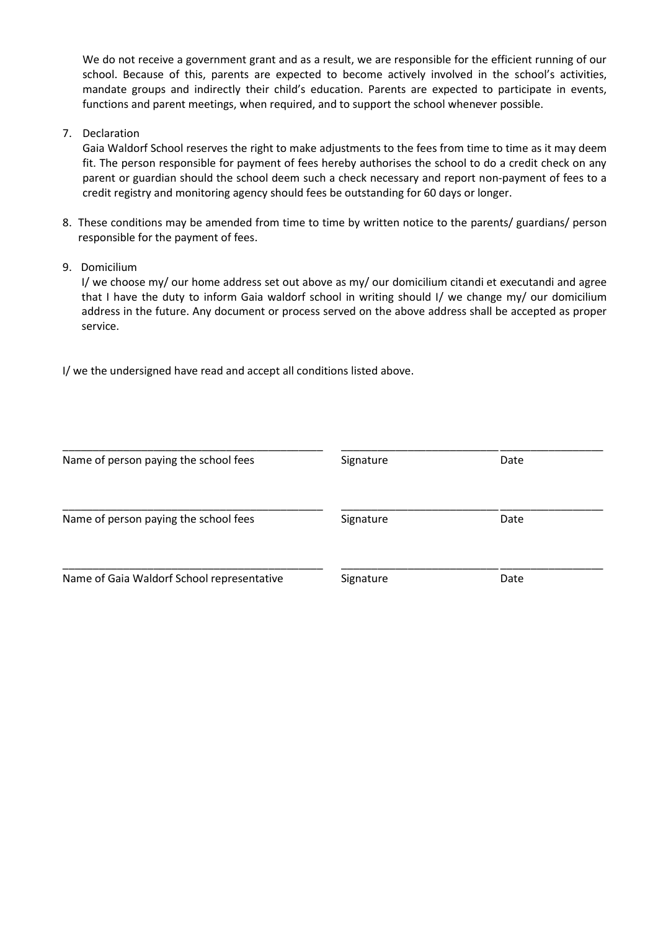We do not receive a government grant and as a result, we are responsible for the efficient running of our school. Because of this, parents are expected to become actively involved in the school's activities, mandate groups and indirectly their child's education. Parents are expected to participate in events, functions and parent meetings, when required, and to support the school whenever possible.

7. Declaration

Gaia Waldorf School reserves the right to make adjustments to the fees from time to time as it may deem fit. The person responsible for payment of fees hereby authorises the school to do a credit check on any parent or guardian should the school deem such a check necessary and report non-payment of fees to a credit registry and monitoring agency should fees be outstanding for 60 days or longer.

- 8. These conditions may be amended from time to time by written notice to the parents/ guardians/ person responsible for the payment of fees.
- 9. Domicilium

I/ we choose my/ our home address set out above as my/ our domicilium citandi et executandi and agree that I have the duty to inform Gaia waldorf school in writing should I/ we change my/ our domicilium address in the future. Any document or process served on the above address shall be accepted as proper service.

I/ we the undersigned have read and accept all conditions listed above.

| Name of person paying the school fees      | Signature | Date |
|--------------------------------------------|-----------|------|
| Name of person paying the school fees      | Signature | Date |
| Name of Gaia Waldorf School representative | Signature | Date |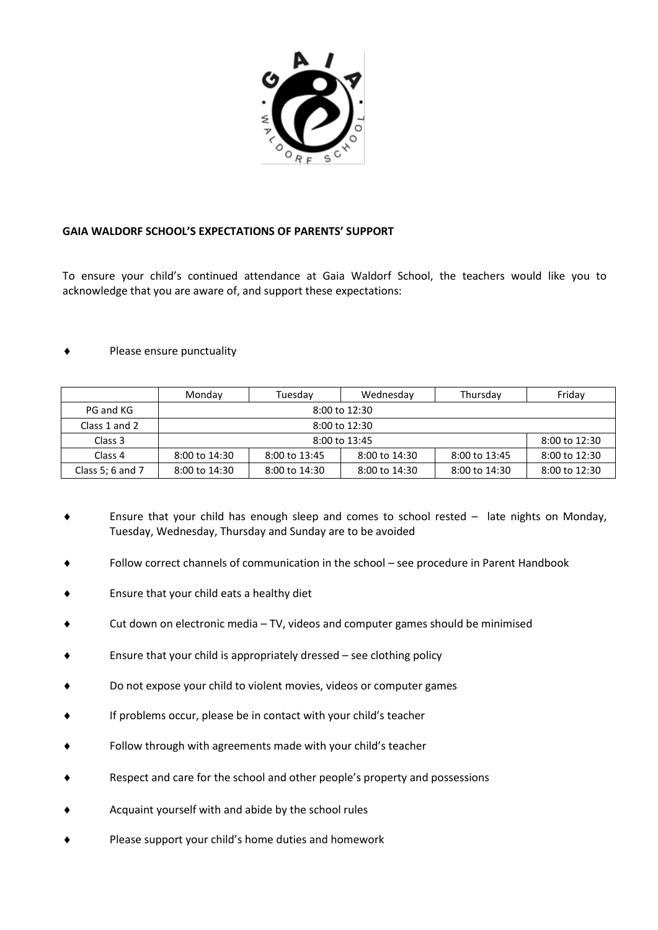

#### **GAIA WALDORF SCHOOL'S EXPECTATIONS OF PARENTS' SUPPORT**

To ensure your child's continued attendance at Gaia Waldorf School, the teachers would like you to acknowledge that you are aware of, and support these expectations:

#### Please ensure punctuality

|                    | Monday                             | Tuesdav           | Wednesday         | Thursday          | Friday            |  |  |  |
|--------------------|------------------------------------|-------------------|-------------------|-------------------|-------------------|--|--|--|
| PG and KG          | $8:00$ to $12:30$                  |                   |                   |                   |                   |  |  |  |
| Class 1 and 2      |                                    | $8:00$ to $12:30$ |                   |                   |                   |  |  |  |
| Class 3            | $8:00$ to $12:30$<br>8:00 to 13:45 |                   |                   |                   |                   |  |  |  |
| Class <sub>4</sub> | $8:00$ to $14:30$                  | 8:00 to 13:45     | $8:00$ to $14:30$ | 8:00 to 13:45     | $8:00$ to $12:30$ |  |  |  |
| Class 5; 6 and 7   | $8:00$ to $14:30$                  | 8:00 to 14:30     | $8:00$ to $14:30$ | $8:00$ to $14:30$ | 8:00 to 12:30     |  |  |  |

- Ensure that your child has enough sleep and comes to school rested late nights on Monday, Tuesday, Wednesday, Thursday and Sunday are to be avoided
- Follow correct channels of communication in the school see procedure in Parent Handbook
- Ensure that your child eats a healthy diet
- Cut down on electronic media TV, videos and computer games should be minimised
- Ensure that your child is appropriately dressed see clothing policy
- Do not expose your child to violent movies, videos or computer games
- If problems occur, please be in contact with your child's teacher
- Follow through with agreements made with your child's teacher
- Respect and care for the school and other people's property and possessions
- Acquaint yourself with and abide by the school rules
- Please support your child's home duties and homework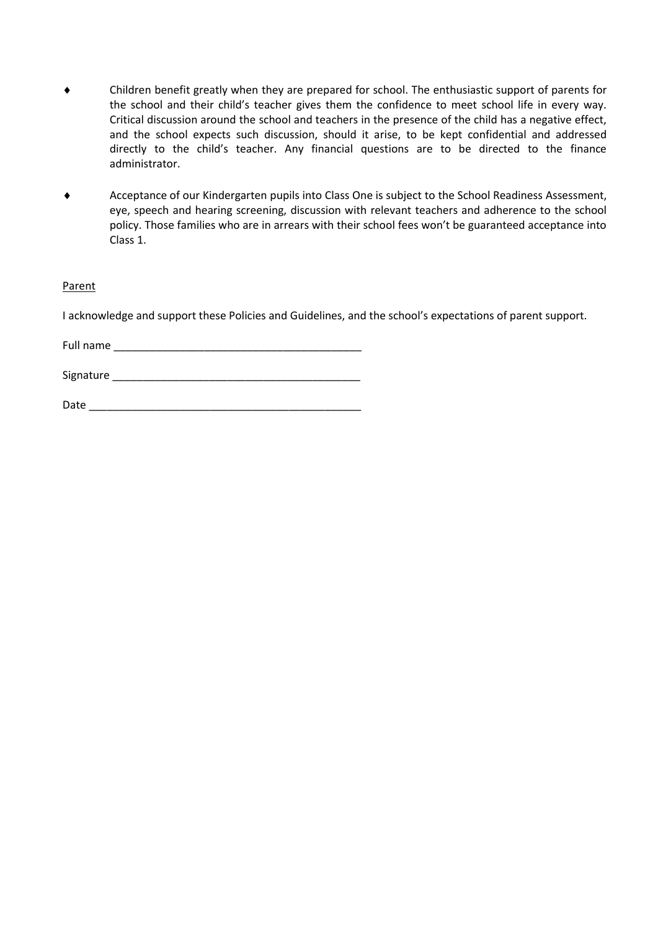- Children benefit greatly when they are prepared for school. The enthusiastic support of parents for the school and their child's teacher gives them the confidence to meet school life in every way. Critical discussion around the school and teachers in the presence of the child has a negative effect, and the school expects such discussion, should it arise, to be kept confidential and addressed directly to the child's teacher. Any financial questions are to be directed to the finance administrator.
- Acceptance of our Kindergarten pupils into Class One is subject to the School Readiness Assessment, eye, speech and hearing screening, discussion with relevant teachers and adherence to the school policy. Those families who are in arrears with their school fees won't be guaranteed acceptance into Class 1.

#### Parent

I acknowledge and support these Policies and Guidelines, and the school's expectations of parent support.

Full name \_\_\_\_\_\_\_\_\_\_\_\_\_\_\_\_\_\_\_\_\_\_\_\_\_\_\_\_\_\_\_\_\_\_\_\_\_\_\_\_\_

Signature \_\_\_\_\_\_\_\_\_\_\_\_\_\_\_\_\_\_\_\_\_\_\_\_\_\_\_\_\_\_\_\_\_\_\_\_\_\_\_\_\_

 $Date$